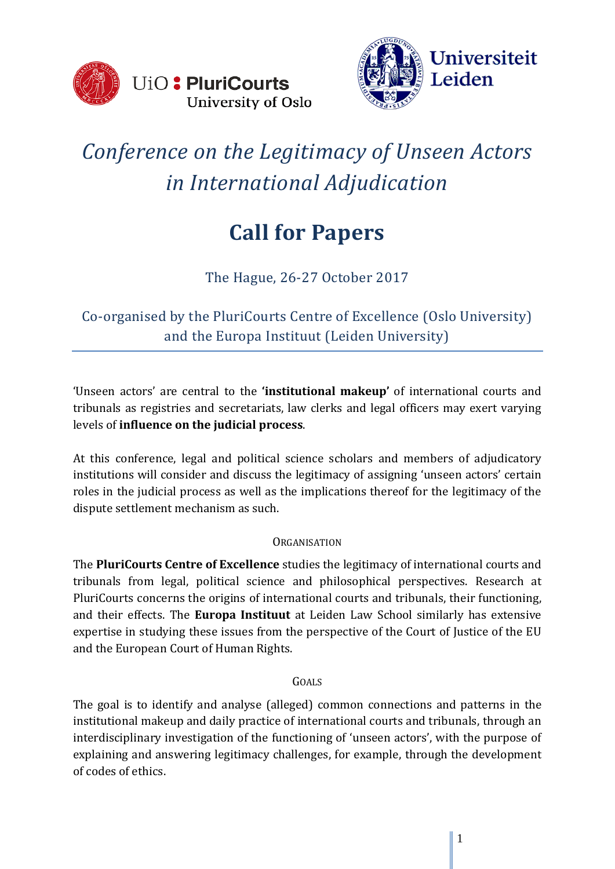



# *Conference on the Legitimacy of Unseen Actors in International Adjudication*

# **Call for Papers**

The Hague, 26-27 October 2017

Co-organised by the PluriCourts Centre of Excellence (Oslo University) and the Europa Instituut (Leiden University)

'Unseen actors' are central to the **'institutional makeup'** of international courts and tribunals as registries and secretariats, law clerks and legal officers may exert varying levels of **influence on the judicial process**.

At this conference, legal and political science scholars and members of adjudicatory institutions will consider and discuss the legitimacy of assigning 'unseen actors' certain roles in the judicial process as well as the implications thereof for the legitimacy of the dispute settlement mechanism as such.

# **ORGANISATION**

The **PluriCourts Centre of Excellence** studies the legitimacy of international courts and tribunals from legal, political science and philosophical perspectives. Research at PluriCourts concerns the origins of international courts and tribunals, their functioning, and their effects. The **Europa Instituut** at Leiden Law School similarly has extensive expertise in studying these issues from the perspective of the Court of Justice of the EU and the European Court of Human Rights.

## GOALS

The goal is to identify and analyse (alleged) common connections and patterns in the institutional makeup and daily practice of international courts and tribunals, through an interdisciplinary investigation of the functioning of 'unseen actors', with the purpose of explaining and answering legitimacy challenges, for example, through the development of codes of ethics.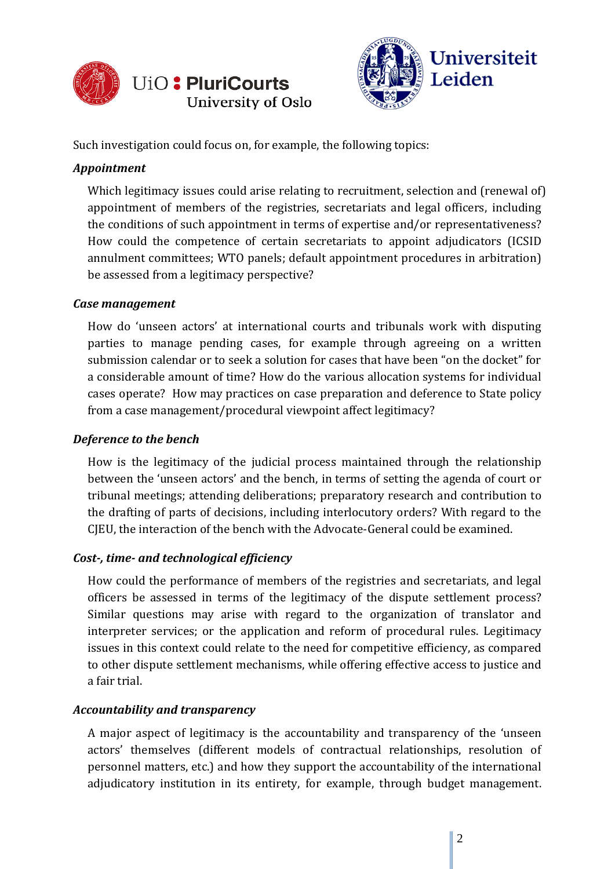



Such investigation could focus on, for example, the following topics:

#### *Appointment*

Which legitimacy issues could arise relating to recruitment, selection and (renewal of) appointment of members of the registries, secretariats and legal officers, including the conditions of such appointment in terms of expertise and/or representativeness? How could the competence of certain secretariats to appoint adjudicators (ICSID annulment committees; WTO panels; default appointment procedures in arbitration) be assessed from a legitimacy perspective?

#### *Case management*

How do 'unseen actors' at international courts and tribunals work with disputing parties to manage pending cases, for example through agreeing on a written submission calendar or to seek a solution for cases that have been "on the docket" for a considerable amount of time? How do the various allocation systems for individual cases operate? How may practices on case preparation and deference to State policy from a case management/procedural viewpoint affect legitimacy?

#### *Deference to the bench*

How is the legitimacy of the judicial process maintained through the relationship between the 'unseen actors' and the bench, in terms of setting the agenda of court or tribunal meetings; attending deliberations; preparatory research and contribution to the drafting of parts of decisions, including interlocutory orders? With regard to the CJEU, the interaction of the bench with the Advocate-General could be examined.

## *Cost-, time- and technological efficiency*

How could the performance of members of the registries and secretariats, and legal officers be assessed in terms of the legitimacy of the dispute settlement process? Similar questions may arise with regard to the organization of translator and interpreter services; or the application and reform of procedural rules. Legitimacy issues in this context could relate to the need for competitive efficiency, as compared to other dispute settlement mechanisms, while offering effective access to justice and a fair trial.

#### *Accountability and transparency*

A major aspect of legitimacy is the accountability and transparency of the 'unseen actors' themselves (different models of contractual relationships, resolution of personnel matters, etc.) and how they support the accountability of the international adjudicatory institution in its entirety, for example, through budget management.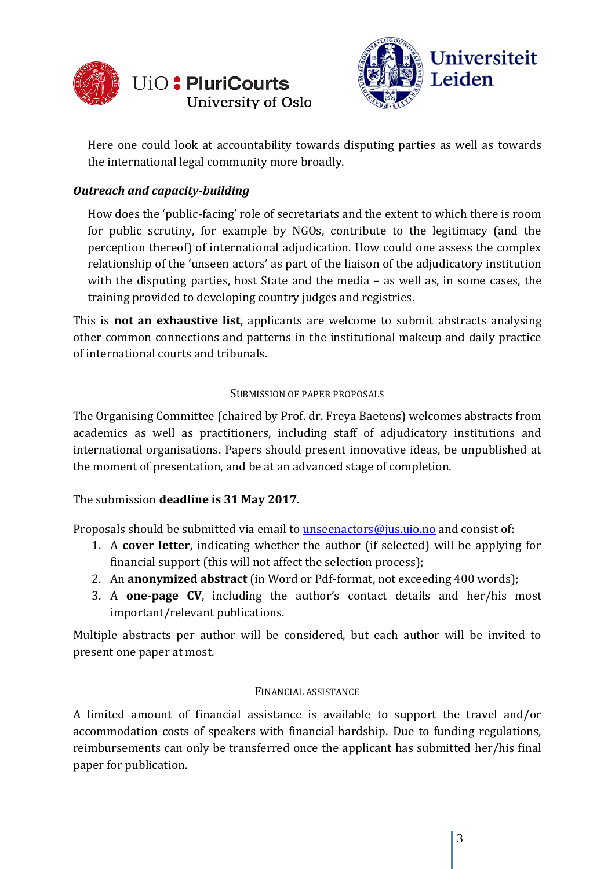



Here one could look at accountability towards disputing parties as well as towards the international legal community more broadly.

# *Outreach and capacity-building*

How does the 'public-facing' role of secretariats and the extent to which there is room for public scrutiny, for example by NGOs, contribute to the legitimacy (and the perception thereof) of international adjudication. How could one assess the complex relationship of the 'unseen actors' as part of the liaison of the adjudicatory institution with the disputing parties, host State and the media – as well as, in some cases, the training provided to developing country judges and registries.

This is **not an exhaustive list**, applicants are welcome to submit abstracts analysing other common connections and patterns in the institutional makeup and daily practice of international courts and tribunals.

#### SUBMISSION OF PAPER PROPOSALS

The Organising Committee (chaired by Prof. dr. Freya Baetens) welcomes abstracts from academics as well as practitioners, including staff of adjudicatory institutions and international organisations. Papers should present innovative ideas, be unpublished at the moment of presentation, and be at an advanced stage of completion.

The submission **deadline is 31 May 2017**.

Proposals should be submitted via email to [unseenactors@jus.uio.no](mailto:unseenactors@jus.uio.no) and consist of:

- 1. A **cover letter**, indicating whether the author (if selected) will be applying for financial support (this will not affect the selection process);
- 2. An **anonymized abstract** (in Word or Pdf-format, not exceeding 400 words);
- 3. A **one-page CV**, including the author's contact details and her/his most important/relevant publications.

Multiple abstracts per author will be considered, but each author will be invited to present one paper at most.

#### FINANCIAL ASSISTANCE

A limited amount of financial assistance is available to support the travel and/or accommodation costs of speakers with financial hardship. Due to funding regulations, reimbursements can only be transferred once the applicant has submitted her/his final paper for publication.